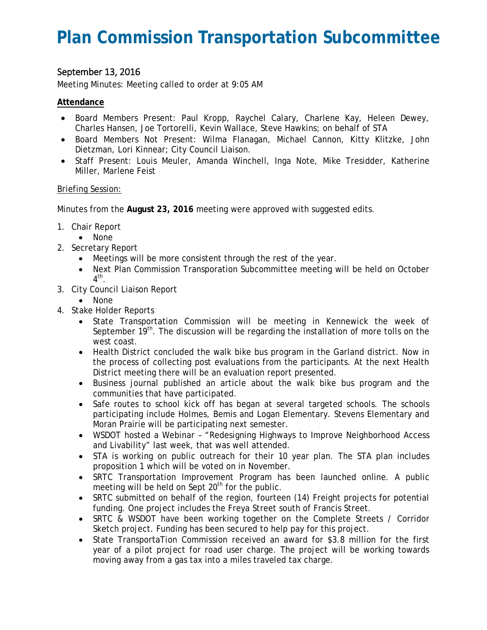# **Plan Commission Transportation Subcommittee**

# September 13, 2016

Meeting Minutes: Meeting called to order at 9:05 AM

#### **Attendance**

- Board Members Present: Paul Kropp, Raychel Calary, Charlene Kay, Heleen Dewey, Charles Hansen, Joe Tortorelli, Kevin Wallace, Steve Hawkins; on behalf of STA
- Board Members Not Present: Wilma Flanagan, Michael Cannon, Kitty Klitzke, John Dietzman, Lori Kinnear; City Council Liaison.
- Staff Present: Louis Meuler, Amanda Winchell, Inga Note, Mike Tresidder, Katherine Miller, Marlene Feist

#### Briefing Session:

Minutes from the **August 23, 2016** meeting were approved with suggested edits.

- 1. Chair Report
	- None
- 2. Secretary Report
	- Meetings will be more consistent through the rest of the year.
	- Next Plan Commission Transporation Subcommittee meeting will be held on October  $4^{\text{th}}$ .
- 3. City Council Liaison Report
	- None
- 4. Stake Holder Reports
	- State Transportation Commission will be meeting in Kennewick the week of September  $19<sup>th</sup>$ . The discussion will be regarding the installation of more tolls on the west coast.
	- Health District concluded the walk bike bus program in the Garland district. Now in the process of collecting post evaluations from the participants. At the next Health District meeting there will be an evaluation report presented.
	- Business journal published an article about the walk bike bus program and the communities that have participated.
	- Safe routes to school kick off has began at several targeted schools. The schools participating include Holmes, Bemis and Logan Elementary. Stevens Elementary and Moran Prairie will be participating next semester.
	- WSDOT hosted a Webinar "Redesigning Highways to Improve Neighborhood Access and Livability" last week, that was well attended.
	- STA is working on public outreach for their 10 year plan. The STA plan includes proposition 1 which will be voted on in November.
	- SRTC Transportation Improvement Program has been launched online. A public meeting will be held on Sept  $20<sup>th</sup>$  for the public.
	- SRTC submitted on behalf of the region, fourteen (14) Freight projects for potential funding. One project includes the Freya Street south of Francis Street.
	- SRTC & WSDOT have been working together on the Complete Streets / Corridor Sketch project. Funding has been secured to help pay for this project.
	- State TransportaTion Commission received an award for \$3.8 million for the first year of a pilot project for road user charge. The project will be working towards moving away from a gas tax into a miles traveled tax charge.